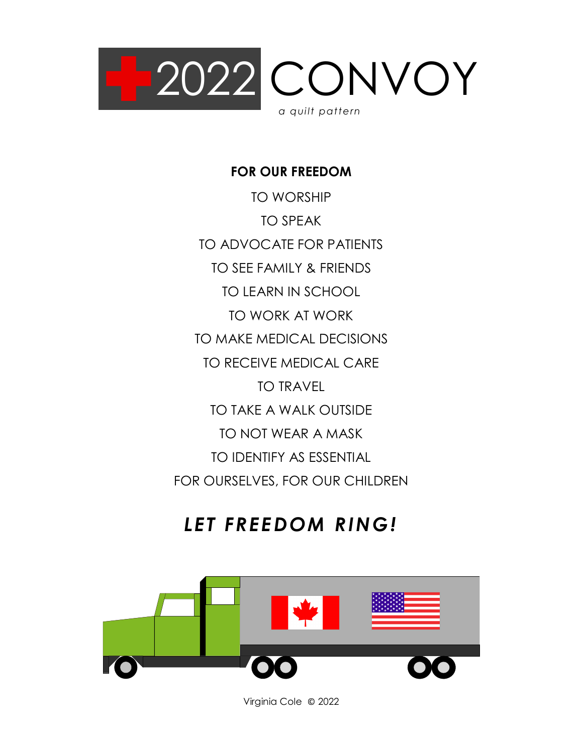

**FOR OUR FREEDOM**

TO WORSHIP TO SPEAK TO ADVOCATE FOR PATIENTS TO SEE FAMILY & FRIENDS TO LEARN IN SCHOOL TO WORK AT WORK TO MAKE MEDICAL DECISIONS TO RECEIVE MEDICAL CARE TO TRAVEL TO TAKE A WALK OUTSIDE TO NOT WEAR A MASK TO IDENTIFY AS ESSENTIAL FOR OURSELVES, FOR OUR CHILDREN

# *LET FREEDOM RING!*



Virginia Cole © 2022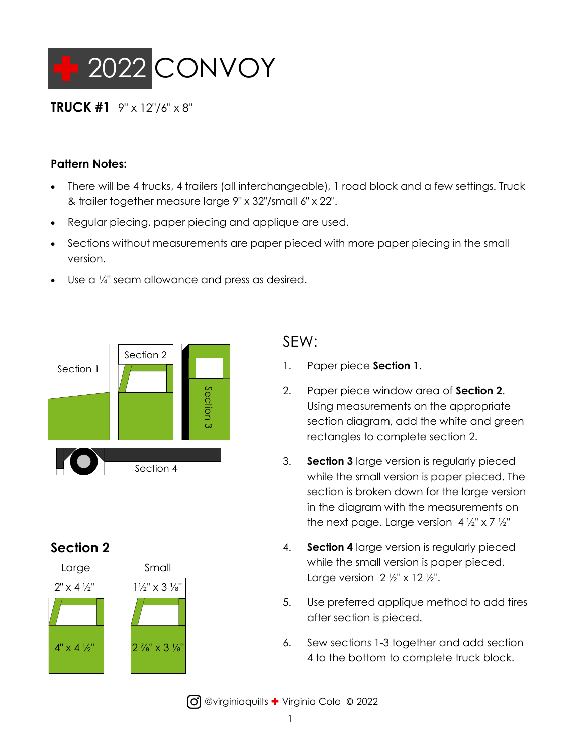

#### **TRUCK #1**  $9'' \times 12''/6'' \times 8''$

#### **Pattern Notes:**

- There will be 4 trucks, 4 trailers (all interchangeable), 1 road block and a few settings. Truck & trailer together measure large 9" x 32"/small 6" x 22".
- Regular piecing, paper piecing and applique are used.
- Sections without measurements are paper pieced with more paper piecing in the small version.
- Use a  $\frac{1}{4}$ " seam allowance and press as desired.



## **Section 2**





### SEW:

- 1. Paper piece **Section 1**.
- 2. Paper piece window area of **Section 2**. Using measurements on the appropriate section diagram, add the white and green rectangles to complete section 2.
- 3. **Section 3** large version is regularly pieced while the small version is paper pieced. The section is broken down for the large version in the diagram with the measurements on the next page. Large version  $4\frac{1}{2}$ " x 7  $\frac{1}{2}$ "
- 4. **Section 4** large version is regularly pieced while the small version is paper pieced. Large version  $2 \frac{1}{2}$ " x 12 $\frac{1}{2}$ ".
- 5. Use preferred applique method to add tires after section is pieced.
- 6. Sew sections 1-3 together and add section 4 to the bottom to complete truck block.

**(O)** @virginiaquilts + Virginia Cole © 2022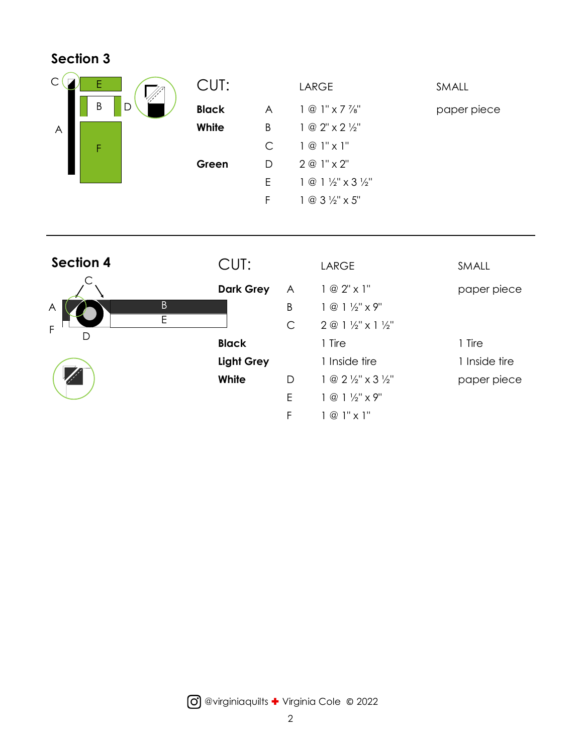### **Section 3**





| CUT:              |                | LARGE                                     | SMALL         |
|-------------------|----------------|-------------------------------------------|---------------|
| Dark Grey         | $\overline{A}$ | $1 \circ 2$ " x 1"                        | paper piece   |
|                   | B              | $1 @ 1 \frac{1}{2}$ " x 9"                |               |
|                   | C              | $2@1\frac{1}{2}"$ x 1 $\frac{1}{2}"$      |               |
| <b>Black</b>      |                | 1 Tire                                    | 1 Tire        |
| <b>Light Grey</b> |                | 1 Inside tire                             | 1 Inside tire |
| White             | D.             | $1 @ 2 \frac{1}{2}$ " x 3 $\frac{1}{2}$ " | paper piece   |
|                   | E              | $1 @ 1 \frac{1}{2}$ " x 9"                |               |
|                   | F              | $1 @ 1" \times 1"$                        |               |

@virginiaquilts Virginia Cole © 2022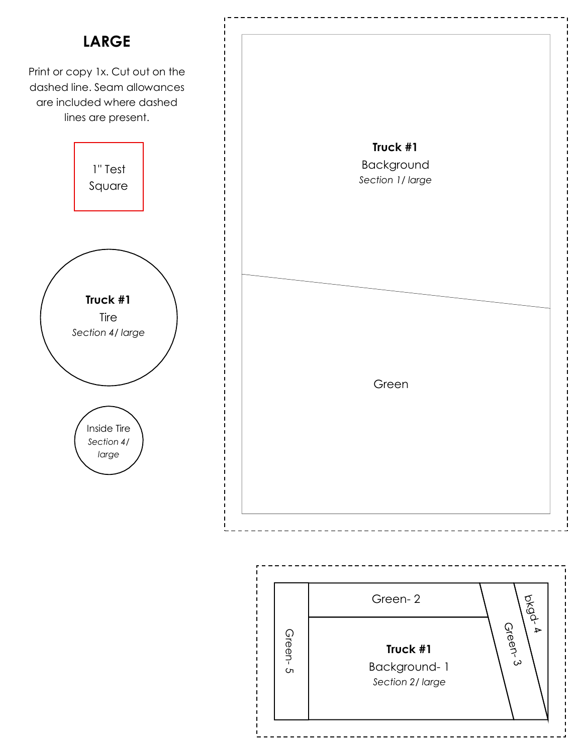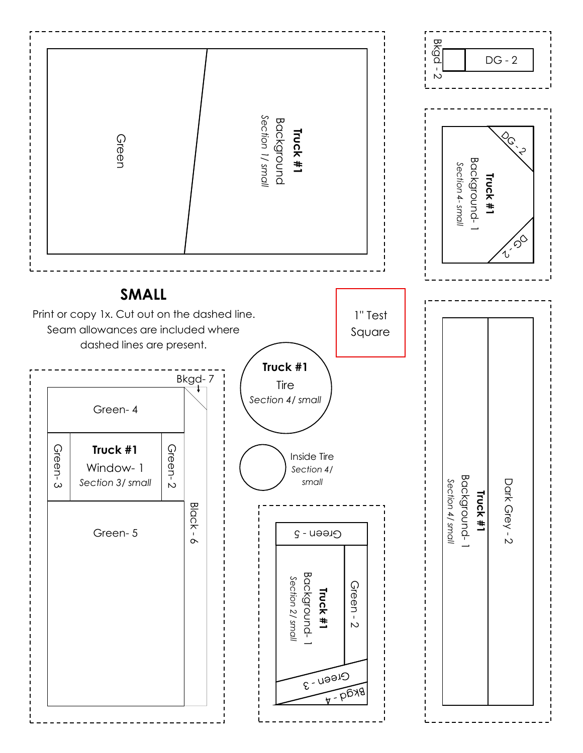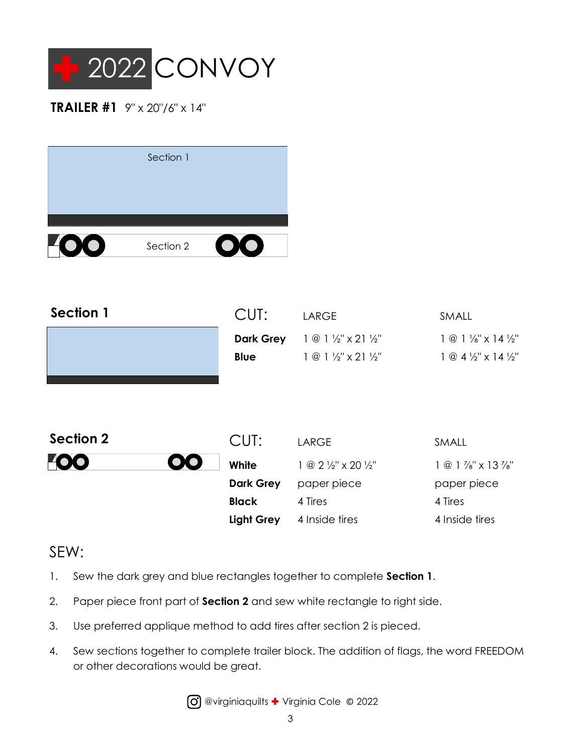

#### **TRAILER #1**  $9'' \times 20''/6'' \times 14''$

|               | Section 1 |           |
|---------------|-----------|-----------|
|               |           |           |
| $\frac{V}{4}$ | Section 2 | $\bigcup$ |

| <b>Section 1</b> | CUT:              | <b>LARGE</b>                                          | SMALL                                      |
|------------------|-------------------|-------------------------------------------------------|--------------------------------------------|
|                  | <b>Dark Grey</b>  | $1 @ 1 \frac{1}{2}$ " x 21 $\frac{1}{2}$ "            | $1 @ 1 \frac{1}{8}$ x 14 $\frac{1}{2}$ "   |
|                  | <b>Blue</b>       | $1 @ 1 \frac{1}{2}$ " x 21 $\frac{1}{2}$ "            | $1 @ 4 \frac{1}{2}$ " x 14 $\frac{1}{2}$ " |
|                  |                   |                                                       |                                            |
|                  |                   |                                                       |                                            |
|                  |                   |                                                       |                                            |
| <b>Section 2</b> | CUT:              | <b>LARGE</b>                                          | SMALL                                      |
|                  | White             | $1 \circledcirc 2 \frac{1}{2}$ " x 20 $\frac{1}{2}$ " | $1 @ 1\frac{7}{8}$ " x 13 $\frac{7}{8}$ "  |
|                  | <b>Dark Grey</b>  | paper piece                                           | paper piece                                |
|                  | <b>Black</b>      | 4 Tires                                               | 4 Tires                                    |
|                  | <b>Light Grey</b> | 4 Inside tires                                        | 4 Inside tires                             |

## SEW:

- 1. Sew the dark grey and blue rectangles together to complete **Section 1**.
- 2. Paper piece front part of **Section 2** and sew white rectangle to right side.
- 3. Use preferred applique method to add tires after section 2 is pieced.
- 4. Sew sections together to complete trailer block. The addition of flags, the word FREEDOM or other decorations would be great.

@virginiaquilts Virginia Cole © 2022